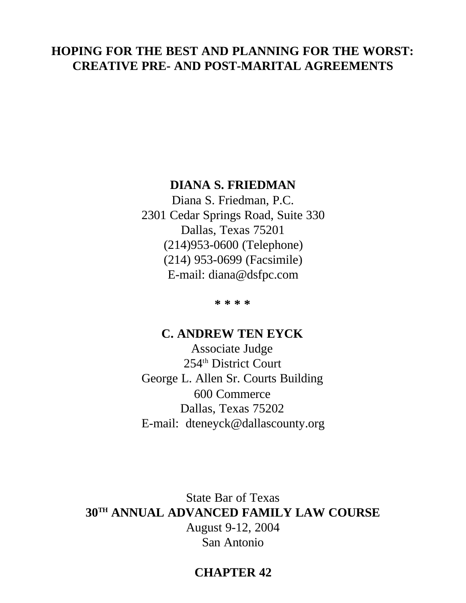# **HOPING FOR THE BEST AND PLANNING FOR THE WORST: CREATIVE PRE- AND POST-MARITAL AGREEMENTS**

# **DIANA S. FRIEDMAN**

Diana S. Friedman, P.C. 2301 Cedar Springs Road, Suite 330 Dallas, Texas 75201 (214)953-0600 (Telephone) (214) 953-0699 (Facsimile) E-mail: diana@dsfpc.com

**\* \* \* \***

# **C. ANDREW TEN EYCK**

Associate Judge 254th District Court George L. Allen Sr. Courts Building 600 Commerce Dallas, Texas 75202 E-mail: dteneyck@dallascounty.org

State Bar of Texas **30TH ANNUAL ADVANCED FAMILY LAW COURSE** August 9-12, 2004 San Antonio

# **CHAPTER 42**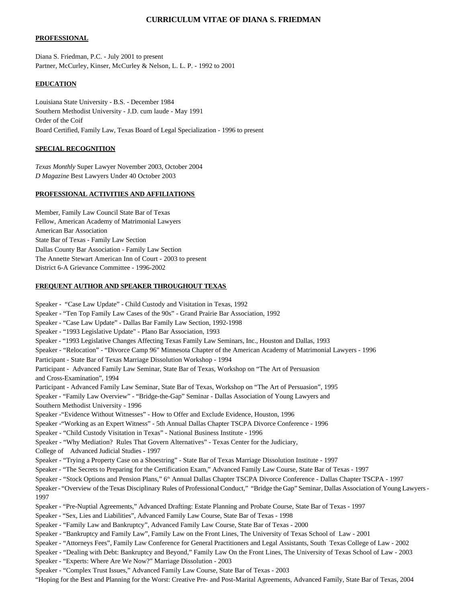#### **CURRICULUM VITAE OF DIANA S. FRIEDMAN**

#### **PROFESSIONAL**

Diana S. Friedman, P.C. - July 2001 to present Partner, McCurley, Kinser, McCurley & Nelson, L. L. P. - 1992 to 2001

#### **EDUCATION**

Louisiana State University - B.S. - December 1984 Southern Methodist University - J.D. cum laude - May 1991 Order of the Coif Board Certified, Family Law, Texas Board of Legal Specialization - 1996 to present

#### **SPECIAL RECOGNITION**

*Texas Monthly* Super Lawyer November 2003, October 2004 *D Magazine* Best Lawyers Under 40 October 2003

#### **PROFESSIONAL ACTIVITIES AND AFFILIATIONS**

Member, Family Law Council State Bar of Texas Fellow, American Academy of Matrimonial Lawyers American Bar Association State Bar of Texas - Family Law Section Dallas County Bar Association - Family Law Section The Annette Stewart American Inn of Court - 2003 to present District 6-A Grievance Committee - 1996-2002

#### **FREQUENT AUTHOR AND SPEAKER THROUGHOUT TEXAS**

Speaker - "Case Law Update" - Child Custody and Visitation in Texas, 1992 Speaker - "Ten Top Family Law Cases of the 90s" - Grand Prairie Bar Association, 1992 Speaker - "Case Law Update" - Dallas Bar Family Law Section, 1992-1998 Speaker - "1993 Legislative Update" - Plano Bar Association, 1993 Speaker - "1993 Legislative Changes Affecting Texas Family Law Seminars, Inc., Houston and Dallas, 1993 Speaker - "Relocation" - "Divorce Camp 96" Minnesota Chapter of the American Academy of Matrimonial Lawyers - 1996 Participant - State Bar of Texas Marriage Dissolution Workshop - 1994 Participant - Advanced Family Law Seminar, State Bar of Texas, Workshop on "The Art of Persuasion and Cross-Examination", 1994 Participant - Advanced Family Law Seminar, State Bar of Texas, Workshop on "The Art of Persuasion", 1995 Speaker - "Family Law Overview" - "Bridge-the-Gap" Seminar - Dallas Association of Young Lawyers and Southern Methodist University - 1996 Speaker -"Evidence Without Witnesses" - How to Offer and Exclude Evidence, Houston, 1996 Speaker -"Working as an Expert Witness" - 5th Annual Dallas Chapter TSCPA Divorce Conference - 1996 Speaker - "Child Custody Visitation in Texas" - National Business Institute - 1996 Speaker - "Why Mediation? Rules That Govern Alternatives" - Texas Center for the Judiciary, College of Advanced Judicial Studies - 1997 Speaker - "Trying a Property Case on a Shoestring" - State Bar of Texas Marriage Dissolution Institute - 1997 Speaker - "The Secrets to Preparing for the Certification Exam," Advanced Family Law Course, State Bar of Texas - 1997 Speaker - "Stock Options and Pension Plans," 6<sup>th</sup> Annual Dallas Chapter TSCPA Divorce Conference - Dallas Chapter TSCPA - 1997 Speaker- "Overview of the Texas Disciplinary Rules of ProfessionalConduct," "Bridge the Gap" Seminar, Dallas Association of Young Lawyers - 1997 Speaker - "Pre-Nuptial Agreements," Advanced Drafting: Estate Planning and Probate Course, State Bar of Texas - 1997 Speaker - "Sex, Lies and Liabilities", Advanced Family Law Course, State Bar of Texas - 1998 Speaker - "Family Law and Bankruptcy", Advanced Family Law Course, State Bar of Texas - 2000 Speaker - "Bankruptcy and Family Law", Family Law on the Front Lines, The University of Texas School of Law - 2001 Speaker - "Attorneys Fees", Family Law Conference for General Practitioners and Legal Assistants, South Texas College of Law - 2002 Speaker - "Dealing with Debt: Bankruptcy and Beyond," Family Law On the Front Lines, The University of Texas School of Law - 2003 Speaker - "Experts: Where Are We Now?" Marriage Dissolution - 2003 Speaker - "Complex Trust Issues," Advanced Family Law Course, State Bar of Texas - 2003 "Hoping for the Best and Planning for the Worst: Creative Pre- and Post-Marital Agreements, Advanced Family, State Bar of Texas, 2004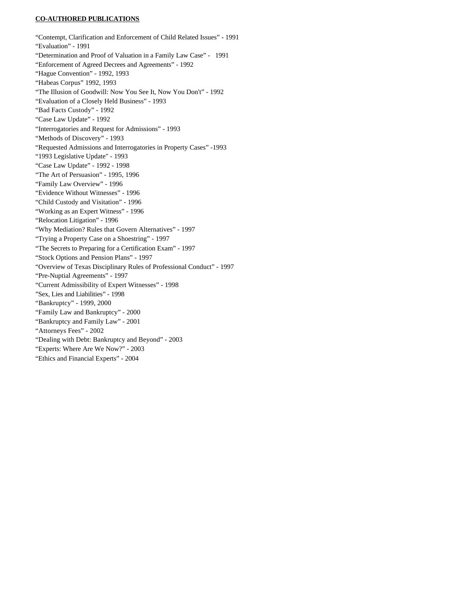#### **CO-AUTHORED PUBLICATIONS**

"Contempt, Clarification and Enforcement of Child Related Issues" - 1991 "Evaluation" - 1991 "Determination and Proof of Valuation in a Family Law Case" - 1991 "Enforcement of Agreed Decrees and Agreements" - 1992 "Hague Convention" - 1992, 1993 "Habeas Corpus" 1992, 1993 "The Illusion of Goodwill: Now You See It, Now You Don't" - 1992 "Evaluation of a Closely Held Business" - 1993 "Bad Facts Custody" - 1992 "Case Law Update" - 1992 "Interrogatories and Request for Admissions" - 1993 "Methods of Discovery" - 1993 "Requested Admissions and Interrogatories in Property Cases" -1993 "1993 Legislative Update" - 1993 "Case Law Update" - 1992 - 1998 "The Art of Persuasion" - 1995, 1996 "Family Law Overview" - 1996 "Evidence Without Witnesses" - 1996 "Child Custody and Visitation" - 1996 "Working as an Expert Witness" - 1996 "Relocation Litigation" - 1996 "Why Mediation? Rules that Govern Alternatives" - 1997 "Trying a Property Case on a Shoestring" - 1997 "The Secrets to Preparing for a Certification Exam" - 1997 "Stock Options and Pension Plans" - 1997 "Overview of Texas Disciplinary Rules of Professional Conduct" - 1997 "Pre-Nuptial Agreements" - 1997 "Current Admissibility of Expert Witnesses" - 1998 "Sex, Lies and Liabilities" - 1998 "Bankruptcy" - 1999, 2000 "Family Law and Bankruptcy" - 2000 "Bankruptcy and Family Law" - 2001 "Attorneys Fees" - 2002 "Dealing with Debt: Bankruptcy and Beyond" - 2003 "Experts: Where Are We Now?" - 2003 "Ethics and Financial Experts" - 2004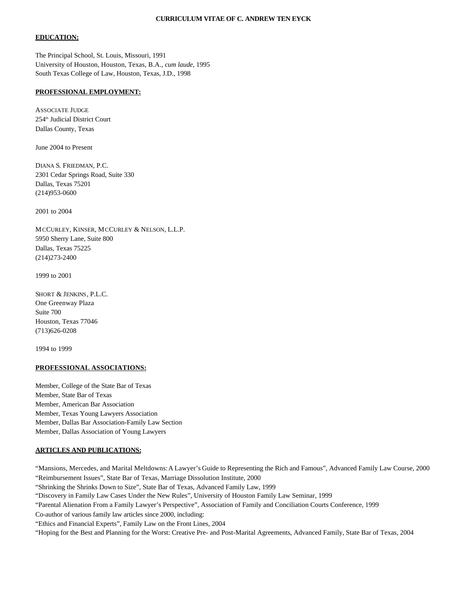#### **CURRICULUM VITAE OF C. ANDREW TEN EYCK**

#### **EDUCATION:**

The Principal School, St. Louis, Missouri, 1991 University of Houston, Houston, Texas, B.A., *cum laude*, 1995 South Texas College of Law, Houston, Texas, J.D., 1998

#### **PROFESSIONAL EMPLOYMENT:**

ASSOCIATE JUDGE 254th Judicial District Court Dallas County, Texas

June 2004 to Present

DIANA S. FRIEDMAN, P.C. 2301 Cedar Springs Road, Suite 330 Dallas, Texas 75201 (214)953-0600

2001 to 2004

MCCURLEY, KINSER, MCCURLEY & NELSON, L.L.P. 5950 Sherry Lane, Suite 800 Dallas, Texas 75225 (214)273-2400

1999 to 2001

SHORT & JENKINS, P.L.C. One Greenway Plaza Suite 700 Houston, Texas 77046 (713)626-0208

1994 to 1999

#### **PROFESSIONAL ASSOCIATIONS:**

Member, College of the State Bar of Texas Member, State Bar of Texas Member, American Bar Association Member, Texas Young Lawyers Association Member, Dallas Bar Association-Family Law Section Member, Dallas Association of Young Lawyers

#### **ARTICLES AND PUBLICATIONS:**

"Mansions, Mercedes, and Marital Meltdowns:A Lawyer's Guide to Representing the Rich and Famous", Advanced Family Law Course, 2000 "Reimbursement Issues", State Bar of Texas, Marriage Dissolution Institute, 2000 "Shrinking the Shrinks Down to Size", State Bar of Texas, Advanced Family Law, 1999 "Discovery in Family Law Cases Under the New Rules", University of Houston Family Law Seminar, 1999 "Parental Alienation From a Family Lawyer's Perspective", Association of Family and Conciliation Courts Conference, 1999 Co-author of various family law articles since 2000, including: "Ethics and Financial Experts", Family Law on the Front Lines, 2004 "Hoping for the Best and Planning for the Worst: Creative Pre- and Post-Marital Agreements, Advanced Family, State Bar of Texas, 2004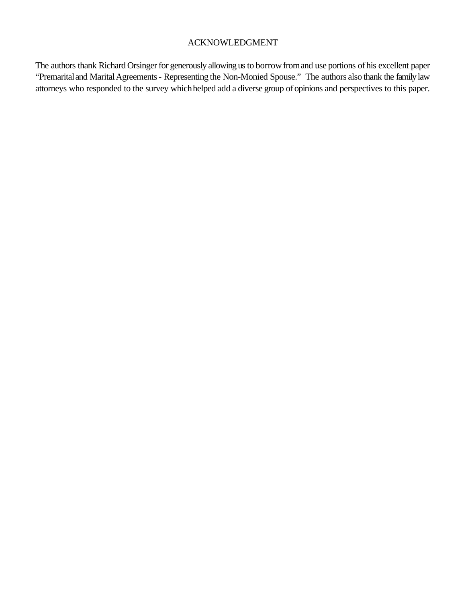# ACKNOWLEDGMENT

The authors thank Richard Orsinger for generously allowing us to borrow from and use portions of his excellent paper "Premarital and Marital Agreements - Representing the Non-Monied Spouse." The authors also thank the family law attorneys who responded to the survey whichhelped add a diverse group ofopinions and perspectives to this paper.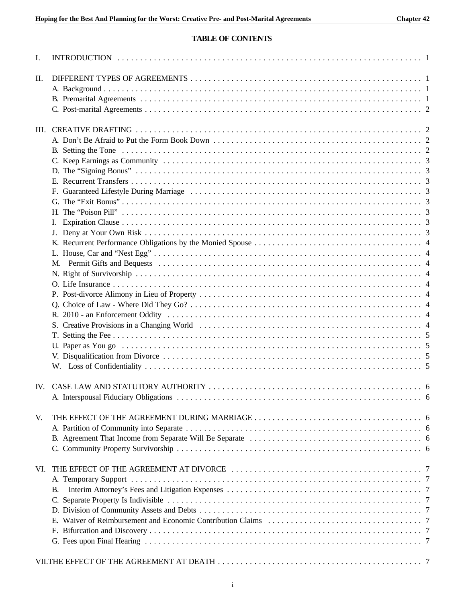# **TABLE OF CONTENTS**

| I.  |           |  |
|-----|-----------|--|
| II. |           |  |
|     |           |  |
|     |           |  |
|     |           |  |
|     |           |  |
|     |           |  |
|     |           |  |
|     |           |  |
|     |           |  |
|     |           |  |
|     |           |  |
|     |           |  |
|     |           |  |
|     |           |  |
|     |           |  |
|     |           |  |
|     |           |  |
|     |           |  |
|     |           |  |
|     |           |  |
|     |           |  |
|     |           |  |
|     |           |  |
|     |           |  |
|     |           |  |
|     |           |  |
|     |           |  |
|     |           |  |
|     |           |  |
|     |           |  |
|     |           |  |
|     |           |  |
|     |           |  |
|     |           |  |
| V.  |           |  |
|     |           |  |
|     |           |  |
|     |           |  |
|     |           |  |
| VI. |           |  |
|     |           |  |
|     |           |  |
|     | <b>B.</b> |  |
|     |           |  |
|     |           |  |
|     |           |  |
|     |           |  |
|     |           |  |
|     |           |  |
|     |           |  |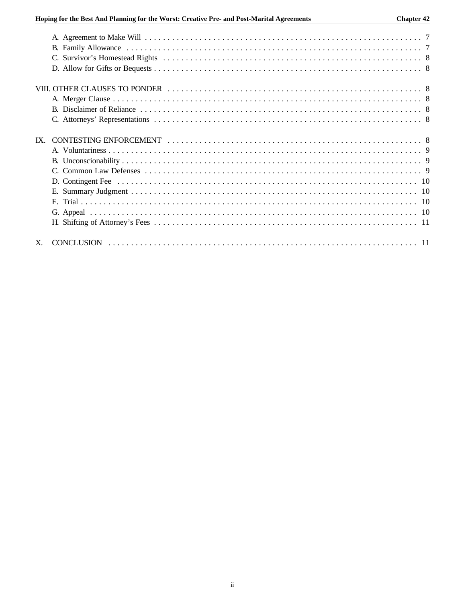| $IX_{-}$ |  |
|----------|--|
|          |  |
|          |  |
|          |  |
|          |  |
|          |  |
|          |  |
|          |  |
|          |  |
|          |  |
|          |  |
|          |  |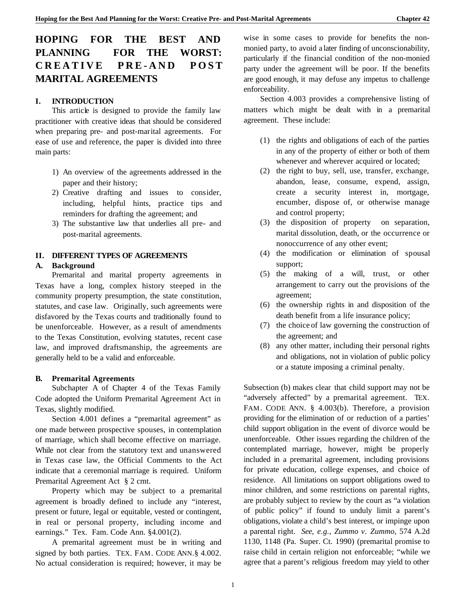# **HOPING FOR THE BEST AND PLANNING FOR THE WORST: CREATIVE PRE-AND POST MARITAL AGREEMENTS**

## **I. INTRODUCTION**

This article is designed to provide the family law practitioner with creative ideas that should be considered when preparing pre- and post-marital agreements. For ease of use and reference, the paper is divided into three main parts:

- 1) An overview of the agreements addressed in the paper and their history;
- 2) Creative drafting and issues to consider, including, helpful hints, practice tips and reminders for drafting the agreement; and
- 3) The substantive law that underlies all pre- and post-marital agreements.

## **II. DIFFERENT TYPES OF AGREEMENTS**

#### **A. Background**

Premarital and marital property agreements in Texas have a long, complex history steeped in the community property presumption, the state constitution, statutes, and case law. Originally, such agreements were disfavored by the Texas courts and traditionally found to be unenforceable. However, as a result of amendments to the Texas Constitution, evolving statutes, recent case law, and improved draftsmanship, the agreements are generally held to be a valid and enforceable.

#### **B. Premarital Agreements**

Subchapter A of Chapter 4 of the Texas Family Code adopted the Uniform Premarital Agreement Act in Texas, slightly modified.

Section 4.001 defines a "premarital agreement" as one made between prospective spouses, in contemplation of marriage, which shall become effective on marriage. While not clear from the statutory text and unanswered in Texas case law, the Official Comments to the Act indicate that a ceremonial marriage is required. Uniform Premarital Agreement Act § 2 cmt.

Property which may be subject to a premarital agreement is broadly defined to include any "interest, present or future, legal or equitable, vested or contingent, in real or personal property, including income and earnings." Tex. Fam. Code Ann. §4.001(2).

A premarital agreement must be in writing and signed by both parties. TEX. FAM. CODE ANN.§ 4.002. No actual consideration is required; however, it may be wise in some cases to provide for benefits the nonmonied party, to avoid a later finding of unconscionability, particularly if the financial condition of the non-monied party under the agreement will be poor. If the benefits are good enough, it may defuse any impetus to challenge enforceability.

Section 4.003 provides a comprehensive listing of matters which might be dealt with in a premarital agreement. These include:

- (1) the rights and obligations of each of the parties in any of the property of either or both of them whenever and wherever acquired or located:
- (2) the right to buy, sell, use, transfer, exchange, abandon, lease, consume, expend, assign, create a security interest in, mortgage, encumber, dispose of, or otherwise manage and control property;
- (3) the disposition of property on separation, marital dissolution, death, or the occurrence or nonoccurrence of any other event;
- (4) the modification or elimination of spousal support;
- (5) the making of a will, trust, or other arrangement to carry out the provisions of the agreement;
- (6) the ownership rights in and disposition of the death benefit from a life insurance policy;
- (7) the choice of law governing the construction of the agreement; and
- (8) any other matter, including their personal rights and obligations, not in violation of public policy or a statute imposing a criminal penalty.

Subsection (b) makes clear that child support may not be "adversely affected" by a premarital agreement. TEX. FAM. CODE ANN. § 4.003(b). Therefore, a provision providing for the elimination of or reduction of a parties' child support obligation in the event of divorce would be unenforceable. Other issues regarding the children of the contemplated marriage, however, might be properly included in a premarital agreement, including provisions for private education, college expenses, and choice of residence. All limitations on support obligations owed to minor children, and some restrictions on parental rights, are probably subject to review by the court as "a violation of public policy" if found to unduly limit a parent's obligations, violate a child's best interest, or impinge upon a parental right. *See, e.g., Zummo v. Zummo,* 574 A.2d 1130, 1148 (Pa. Super. Ct. 1990) (premarital promise to raise child in certain religion not enforceable; "while we agree that a parent's religious freedom may yield to other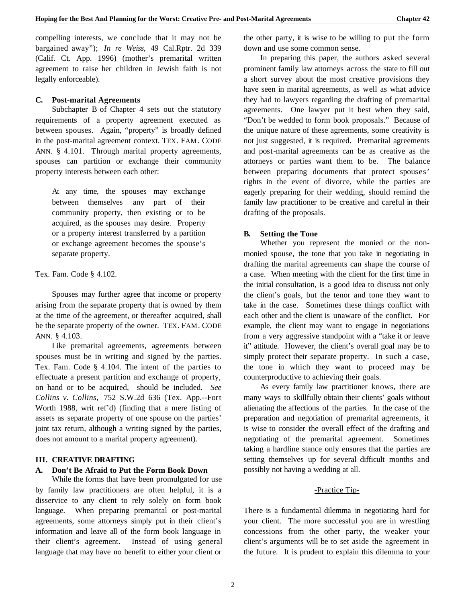compelling interests, we conclude that it may not be bargained away"); *In re Weiss,* 49 Cal.Rptr. 2d 339 (Calif. Ct. App. 1996) (mother's premarital written agreement to raise her children in Jewish faith is not legally enforceable).

#### **C. Post-marital Agreements**

Subchapter B of Chapter 4 sets out the statutory requirements of a property agreement executed as between spouses. Again, "property" is broadly defined in the post-marital agreement context. TEX. FAM. CODE ANN. § 4.101. Through marital property agreements, spouses can partition or exchange their community property interests between each other:

At any time, the spouses may exchange between themselves any part of their community property, then existing or to be acquired, as the spouses may desire. Property or a property interest transferred by a partition or exchange agreement becomes the spouse's separate property.

Tex. Fam. Code § 4.102.

Spouses may further agree that income or property arising from the separate property that is owned by them at the time of the agreement, or thereafter acquired, shall be the separate property of the owner. TEX. FAM. CODE ANN. § 4.103.

Like premarital agreements, agreements between spouses must be in writing and signed by the parties. Tex. Fam. Code § 4.104. The intent of the parties to effectuate a present partition and exchange of property, on hand or to be acquired, should be included. *See Collins v. Collins,* 752 S.W.2d 636 (Tex. App.--Fort Worth 1988, writ ref'd) (finding that a mere listing of assets as separate property of one spouse on the parties' joint tax return, although a writing signed by the parties, does not amount to a marital property agreement).

## **III. CREATIVE DRAFTING**

#### **A. Don't Be Afraid to Put the Form Book Down**

While the forms that have been promulgated for use by family law practitioners are often helpful, it is a disservice to any client to rely solely on form book language. When preparing premarital or post-marital agreements, some attorneys simply put in their client's information and leave all of the form book language in their client's agreement. Instead of using general language that may have no benefit to either your client or

the other party, it is wise to be willing to put the form down and use some common sense.

In preparing this paper, the authors asked several prominent family law attorneys across the state to fill out a short survey about the most creative provisions they have seen in marital agreements, as well as what advice they had to lawyers regarding the drafting of premarital agreements. One lawyer put it best when they said, "Don't be wedded to form book proposals." Because of the unique nature of these agreements, some creativity is not just suggested, it is required. Premarital agreements and post-marital agreements can be as creative as the attorneys or parties want them to be. The balance between preparing documents that protect spouses' rights in the event of divorce, while the parties are eagerly preparing for their wedding, should remind the family law practitioner to be creative and careful in their drafting of the proposals.

#### **B. Setting the Tone**

Whether you represent the monied or the nonmonied spouse, the tone that you take in negotiating in drafting the marital agreements can shape the course of a case. When meeting with the client for the first time in the initial consultation, is a good idea to discuss not only the client's goals, but the tenor and tone they want to take in the case. Sometimes these things conflict with each other and the client is unaware of the conflict. For example, the client may want to engage in negotiations from a very aggressive standpoint with a "take it or leave it" attitude. However, the client's overall goal may be to simply protect their separate property. In such a case, the tone in which they want to proceed may be counterproductive to achieving their goals.

As every family law practitioner knows, there are many ways to skillfully obtain their clients' goals without alienating the affections of the parties. In the case of the preparation and negotiation of premarital agreements, it is wise to consider the overall effect of the drafting and negotiating of the premarital agreement. Sometimes taking a hardline stance only ensures that the parties are setting themselves up for several difficult months and possibly not having a wedding at all.

#### -Practice Tip-

There is a fundamental dilemma in negotiating hard for your client. The more successful you are in wrestling concessions from the other party, the weaker your client's arguments will be to set aside the agreement in the future. It is prudent to explain this dilemma to your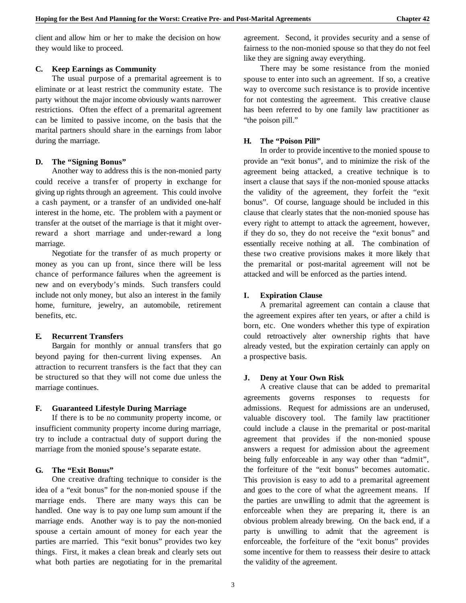client and allow him or her to make the decision on how they would like to proceed.

## **C. Keep Earnings as Community**

The usual purpose of a premarital agreement is to eliminate or at least restrict the community estate. The party without the major income obviously wants narrower restrictions. Often the effect of a premarital agreement can be limited to passive income, on the basis that the marital partners should share in the earnings from labor during the marriage.

## **D. The "Signing Bonus"**

Another way to address this is the non-monied party could receive a transfer of property in exchange for giving up rights through an agreement. This could involve a cash payment, or a transfer of an undivided one-half interest in the home, etc. The problem with a payment or transfer at the outset of the marriage is that it might overreward a short marriage and under-reward a long marriage.

Negotiate for the transfer of as much property or money as you can up front, since there will be less chance of performance failures when the agreement is new and on everybody's minds. Such transfers could include not only money, but also an interest in the family home, furniture, jewelry, an automobile, retirement benefits, etc.

## **E. Recurrent Transfers**

Bargain for monthly or annual transfers that go beyond paying for then-current living expenses. An attraction to recurrent transfers is the fact that they can be structured so that they will not come due unless the marriage continues.

## **F. Guaranteed Lifestyle During Marriage**

If there is to be no community property income, or insufficient community property income during marriage, try to include a contractual duty of support during the marriage from the monied spouse's separate estate.

## **G. The "Exit Bonus"**

One creative drafting technique to consider is the idea of a "exit bonus" for the non-monied spouse if the marriage ends. There are many ways this can be handled. One way is to pay one lump sum amount if the marriage ends. Another way is to pay the non-monied spouse a certain amount of money for each year the parties are married. This "exit bonus" provides two key things. First, it makes a clean break and clearly sets out what both parties are negotiating for in the premarital

agreement. Second, it provides security and a sense of fairness to the non-monied spouse so that they do not feel like they are signing away everything.

There may be some resistance from the monied spouse to enter into such an agreement. If so, a creative way to overcome such resistance is to provide incentive for not contesting the agreement. This creative clause has been referred to by one family law practitioner as "the poison pill."

## **H. The "Poison Pill"**

In order to provide incentive to the monied spouse to provide an "exit bonus", and to minimize the risk of the agreement being attacked, a creative technique is to insert a clause that says if the non-monied spouse attacks the validity of the agreement, they forfeit the "exit bonus". Of course, language should be included in this clause that clearly states that the non-monied spouse has every right to attempt to attack the agreement, however, if they do so, they do not receive the "exit bonus" and essentially receive nothing at all. The combination of these two creative provisions makes it more likely that the premarital or post-marital agreement will not be attacked and will be enforced as the parties intend.

## **I. Expiration Clause**

A premarital agreement can contain a clause that the agreement expires after ten years, or after a child is born, etc. One wonders whether this type of expiration could retroactively alter ownership rights that have already vested, but the expiration certainly can apply on a prospective basis.

## **J. Deny at Your Own Risk**

A creative clause that can be added to premarital agreements governs responses to requests for admissions. Request for admissions are an underused, valuable discovery tool. The family law practitioner could include a clause in the premarital or post-marital agreement that provides if the non-monied spouse answers a request for admission about the agreement being fully enforceable in any way other than "admit", the forfeiture of the "exit bonus" becomes automatic. This provision is easy to add to a premarital agreement and goes to the core of what the agreement means. If the parties are unwilling to admit that the agreement is enforceable when they are preparing it, there is an obvious problem already brewing. On the back end, if a party is unwilling to admit that the agreement is enforceable, the forfeiture of the "exit bonus" provides some incentive for them to reassess their desire to attack the validity of the agreement.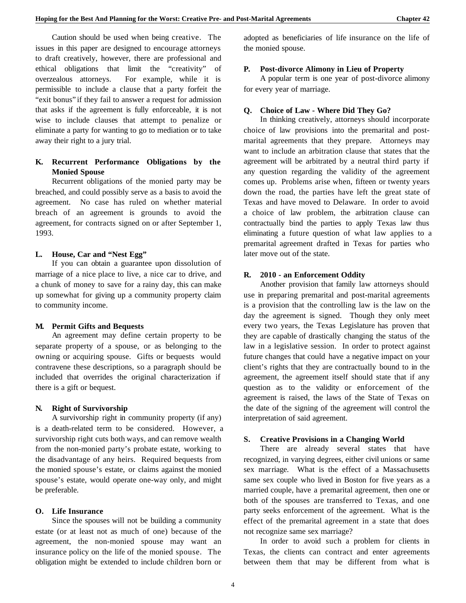Caution should be used when being creative. The issues in this paper are designed to encourage attorneys to draft creatively, however, there are professional and ethical obligations that limit the "creativity" of overzealous attorneys. For example, while it is permissible to include a clause that a party forfeit the "exit bonus" if they fail to answer a request for admission that asks if the agreement is fully enforceable, it is not wise to include clauses that attempt to penalize or eliminate a party for wanting to go to mediation or to take away their right to a jury trial.

## **K. Recurrent Performance Obligations by the Monied Spouse**

Recurrent obligations of the monied party may be breached, and could possibly serve as a basis to avoid the agreement. No case has ruled on whether material breach of an agreement is grounds to avoid the agreement, for contracts signed on or after September 1, 1993.

#### **L. House, Car and "Nest Egg"**

If you can obtain a guarantee upon dissolution of marriage of a nice place to live, a nice car to drive, and a chunk of money to save for a rainy day, this can make up somewhat for giving up a community property claim to community income.

## **M. Permit Gifts and Bequests**

An agreement may define certain property to be separate property of a spouse, or as belonging to the owning or acquiring spouse. Gifts or bequests would contravene these descriptions, so a paragraph should be included that overrides the original characterization if there is a gift or bequest.

## **N. Right of Survivorship**

A survivorship right in community property (if any) is a death-related term to be considered. However, a survivorship right cuts both ways, and can remove wealth from the non-monied party's probate estate, working to the disadvantage of any heirs. Required bequests from the monied spouse's estate, or claims against the monied spouse's estate, would operate one-way only, and might be preferable.

#### **O. Life Insurance**

Since the spouses will not be building a community estate (or at least not as much of one) because of the agreement, the non-monied spouse may want an insurance policy on the life of the monied spouse. The obligation might be extended to include children born or adopted as beneficiaries of life insurance on the life of the monied spouse.

#### **P. Post-divorce Alimony in Lieu of Property**

A popular term is one year of post-divorce alimony for every year of marriage.

## **Q. Choice of Law - Where Did They Go?**

In thinking creatively, attorneys should incorporate choice of law provisions into the premarital and postmarital agreements that they prepare. Attorneys may want to include an arbitration clause that states that the agreement will be arbitrated by a neutral third party if any question regarding the validity of the agreement comes up. Problems arise when, fifteen or twenty years down the road, the parties have left the great state of Texas and have moved to Delaware. In order to avoid a choice of law problem, the arbitration clause can contractually bind the parties to apply Texas law thus eliminating a future question of what law applies to a premarital agreement drafted in Texas for parties who later move out of the state.

#### **R. 2010 - an Enforcement Oddity**

Another provision that family law attorneys should use in preparing premarital and post-marital agreements is a provision that the controlling law is the law on the day the agreement is signed. Though they only meet every two years, the Texas Legislature has proven that they are capable of drastically changing the status of the law in a legislative session. In order to protect against future changes that could have a negative impact on your client's rights that they are contractually bound to in the agreement, the agreement itself should state that if any question as to the validity or enforcement of the agreement is raised, the laws of the State of Texas on the date of the signing of the agreement will control the interpretation of said agreement.

## **S. Creative Provisions in a Changing World**

There are already several states that have recognized, in varying degrees, either civil unions or same sex marriage. What is the effect of a Massachusetts same sex couple who lived in Boston for five years as a married couple, have a premarital agreement, then one or both of the spouses are transferred to Texas, and one party seeks enforcement of the agreement. What is the effect of the premarital agreement in a state that does not recognize same sex marriage?

In order to avoid such a problem for clients in Texas, the clients can contract and enter agreements between them that may be different from what is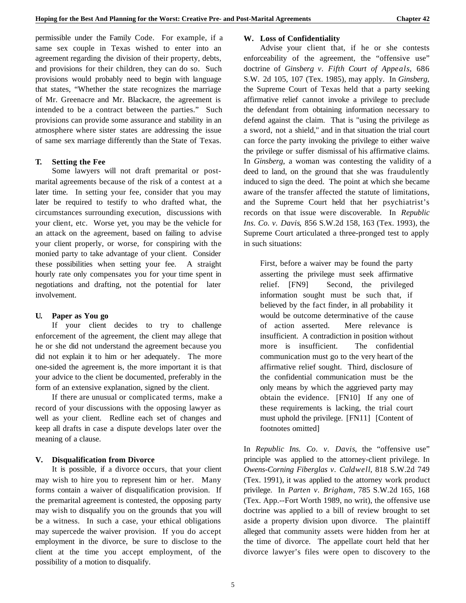permissible under the Family Code. For example, if a same sex couple in Texas wished to enter into an agreement regarding the division of their property, debts, and provisions for their children, they can do so. Such provisions would probably need to begin with language that states, "Whether the state recognizes the marriage of Mr. Greenacre and Mr. Blackacre, the agreement is intended to be a contract between the parties." Such provisions can provide some assurance and stability in an atmosphere where sister states are addressing the issue of same sex marriage differently than the State of Texas.

## **T. Setting the Fee**

Some lawyers will not draft premarital or postmarital agreements because of the risk of a contest at a later time. In setting your fee, consider that you may later be required to testify to who drafted what, the circumstances surrounding execution, discussions with your client, etc. Worse yet, you may be the vehicle for an attack on the agreement, based on failing to advise your client properly, or worse, for conspiring with the monied party to take advantage of your client. Consider these possibilities when setting your fee. A straight hourly rate only compensates you for your time spent in negotiations and drafting, not the potential for later involvement.

## **U. Paper as You go**

If your client decides to try to challenge enforcement of the agreement, the client may allege that he or she did not understand the agreement because you did not explain it to him or her adequately. The more one-sided the agreement is, the more important it is that your advice to the client be documented, preferably in the form of an extensive explanation, signed by the client.

If there are unusual or complicated terms, make a record of your discussions with the opposing lawyer as well as your client. Redline each set of changes and keep all drafts in case a dispute develops later over the meaning of a clause.

## **V. Disqualification from Divorce**

It is possible, if a divorce occurs, that your client may wish to hire you to represent him or her. Many forms contain a waiver of disqualification provision. If the premarital agreement is contested, the opposing party may wish to disqualify you on the grounds that you will be a witness. In such a case, your ethical obligations may supercede the waiver provision. If you do accept employment in the divorce, be sure to disclose to the client at the time you accept employment, of the possibility of a motion to disqualify.

## **W. Loss of Confidentiality**

Advise your client that, if he or she contests enforceability of the agreement, the "offensive use" doctrine of *Ginsberg v. Fifth Court of Appeals*, 686 S.W. 2d 105, 107 (Tex. 1985), may apply. In *Ginsberg*, the Supreme Court of Texas held that a party seeking affirmative relief cannot invoke a privilege to preclude the defendant from obtaining information necessary to defend against the claim. That is "using the privilege as a sword, not a shield," and in that situation the trial court can force the party invoking the privilege to either waive the privilege or suffer dismissal of his affirmative claims. In *Ginsberg*, a woman was contesting the validity of a deed to land, on the ground that she was fraudulently induced to sign the deed. The point at which she became aware of the transfer affected the statute of limitations, and the Supreme Court held that her psychiatrist's records on that issue were discoverable. In *Republic Ins. Co. v. Davis*, 856 S.W.2d 158, 163 (Tex. 1993), the Supreme Court articulated a three-pronged test to apply in such situations:

First, before a waiver may be found the party asserting the privilege must seek affirmative relief. [FN9] Second, the privileged information sought must be such that, if believed by the fact finder, in all probability it would be outcome determinative of the cause of action asserted. Mere relevance is insufficient. A contradiction in position without more is insufficient. The confidential communication must go to the very heart of the affirmative relief sought. Third, disclosure of the confidential communication must be the only means by which the aggrieved party may obtain the evidence. [FN10] If any one of these requirements is lacking, the trial court must uphold the privilege. [FN11] [Content of footnotes omitted]

In *Republic Ins. Co. v. Davis*, the "offensive use" principle was applied to the attorney-client privilege. In *Owens-Corning Fiberglas v. Caldwell*, 818 S.W.2d 749 (Tex. 1991), it was applied to the attorney work product privilege. In *Parten v. Brigham*, 785 S.W.2d 165, 168 (Tex. App.--Fort Worth 1989, no writ), the offensive use doctrine was applied to a bill of review brought to set aside a property division upon divorce. The plaintiff alleged that community assets were hidden from her at the time of divorce. The appellate court held that her divorce lawyer's files were open to discovery to the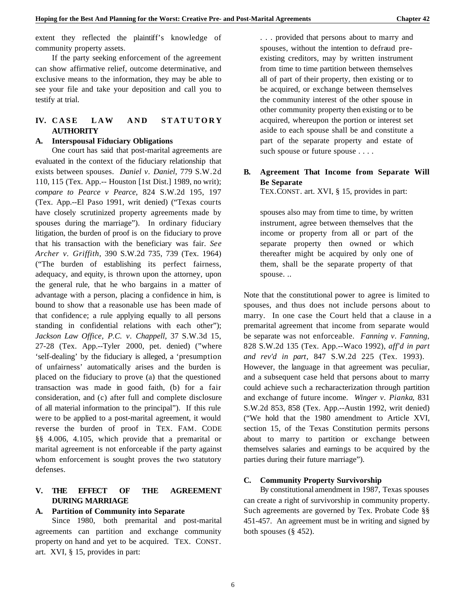extent they reflected the plaintiff's knowledge of community property assets.

If the party seeking enforcement of the agreement can show affirmative relief, outcome determinative, and exclusive means to the information, they may be able to see your file and take your deposition and call you to testify at trial.

## **IV. CASE LAW AND STATUTORY AUTHORITY**

#### **A. Interspousal Fiduciary Obligations**

One court has said that post-marital agreements are evaluated in the context of the fiduciary relationship that exists between spouses. *Daniel v. Daniel*, 779 S.W.2d 110, 115 (Tex. App.-- Houston [1st Dist.] 1989, no writ); *compare to Pearce v Pearce*, 824 S.W.2d 195, 197 (Tex. App.--El Paso 1991, writ denied) ("Texas courts have closely scrutinized property agreements made by spouses during the marriage"). In ordinary fiduciary litigation, the burden of proof is on the fiduciary to prove that his transaction with the beneficiary was fair. *See Archer v. Griffith*, 390 S.W.2d 735, 739 (Tex. 1964) ("The burden of establishing its perfect fairness, adequacy, and equity, is thrown upon the attorney, upon the general rule, that he who bargains in a matter of advantage with a person, placing a confidence in him, is bound to show that a reasonable use has been made of that confidence; a rule applying equally to all persons standing in confidential relations with each other"); *Jackson Law Office, P.C. v. Chappell*, 37 S.W.3d 15, 27-28 (Tex. App.--Tyler 2000, pet. denied) ("where 'self-dealing' by the fiduciary is alleged, a 'presumption of unfairness' automatically arises and the burden is placed on the fiduciary to prove (a) that the questioned transaction was made in good faith, (b) for a fair consideration, and (c) after full and complete disclosure of all material information to the principal"). If this rule were to be applied to a post-marital agreement, it would reverse the burden of proof in TEX. FAM. CODE §§ 4.006, 4.105, which provide that a premarital or marital agreement is not enforceable if the party against whom enforcement is sought proves the two statutory defenses.

## **V. THE EFFECT OF THE AGREEMENT DURING MARRIAGE**

## **A. Partition of Community into Separate**

Since 1980, both premarital and post-marital agreements can partition and exchange community property on hand and yet to be acquired. TEX. CONST. art. XVI, § 15, provides in part:

. . . provided that persons about to marry and spouses, without the intention to defraud preexisting creditors, may by written instrument from time to time partition between themselves all of part of their property, then existing or to be acquired, or exchange between themselves the community interest of the other spouse in other community property then existing or to be acquired, whereupon the portion or interest set aside to each spouse shall be and constitute a part of the separate property and estate of such spouse or future spouse . . . .

## **B. Agreement That Income from Separate Will Be Separate**

TEX.CONST. art. XVI, § 15, provides in part:

spouses also may from time to time, by written instrument, agree between themselves that the income or property from all or part of the separate property then owned or which thereafter might be acquired by only one of them, shall be the separate property of that spouse. ..

Note that the constitutional power to agree is limited to spouses, and thus does not include persons about to marry. In one case the Court held that a clause in a premarital agreement that income from separate would be separate was not enforceable. *Fanning v. Fanning*, 828 S.W.2d 135 (Tex. App.--Waco 1992), *aff'd in part and rev'd in part*, 847 S.W.2d 225 (Tex. 1993). However, the language in that agreement was peculiar, and a subsequent case held that persons about to marry could achieve such a recharacterization through partition and exchange of future income. *Winger v. Pianka*, 831 S.W.2d 853, 858 (Tex. App.--Austin 1992, writ denied) ("We hold that the 1980 amendment to Article XVI, section 15, of the Texas Constitution permits persons about to marry to partition or exchange between themselves salaries and earnings to be acquired by the parties during their future marriage").

#### **C. Community Property Survivorship**

By constitutional amendment in 1987, Texas spouses can create a right of survivorship in community property. Such agreements are governed by Tex. Probate Code §§ 451-457. An agreement must be in writing and signed by both spouses  $(\S$  452).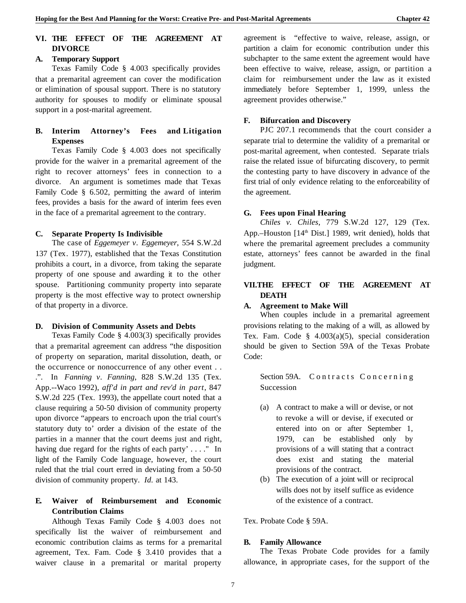## **VI. THE EFFECT OF THE AGREEMENT AT DIVORCE**

## **A. Temporary Support**

Texas Family Code § 4.003 specifically provides that a premarital agreement can cover the modification or elimination of spousal support. There is no statutory authority for spouses to modify or eliminate spousal support in a post-marital agreement.

## **B. Interim Attorney's Fees and Litigation Expenses**

Texas Family Code § 4.003 does not specifically provide for the waiver in a premarital agreement of the right to recover attorneys' fees in connection to a divorce. An argument is sometimes made that Texas Family Code § 6.502, permitting the award of interim fees, provides a basis for the award of interim fees even in the face of a premarital agreement to the contrary.

## **C. Separate Property Is Indivisible**

The case of *Eggemeyer v. Eggemeyer*, 554 S.W.2d 137 (Tex. 1977), established that the Texas Constitution prohibits a court, in a divorce, from taking the separate property of one spouse and awarding it to the other spouse. Partitioning community property into separate property is the most effective way to protect ownership of that property in a divorce.

## **D. Division of Community Assets and Debts**

Texas Family Code § 4.003(3) specifically provides that a premarital agreement can address "the disposition of property on separation, marital dissolution, death, or the occurrence or nonoccurrence of any other event . . .". In *Fanning v. Fanning*, 828 S.W.2d 135 (Tex. App.--Waco 1992), *aff'd in part and rev'd in part*, 847 S.W.2d 225 (Tex. 1993), the appellate court noted that a clause requiring a 50-50 division of community property upon divorce "appears to encroach upon the trial court's statutory duty to' order a division of the estate of the parties in a manner that the court deems just and right, having due regard for the rights of each party'  $\dots$ ." In light of the Family Code language, however, the court ruled that the trial court erred in deviating from a 50-50 division of community property. *Id.* at 143.

## **E. Waiver of Reimbursement and Economic Contribution Claims**

Although Texas Family Code § 4.003 does not specifically list the waiver of reimbursement and economic contribution claims as terms for a premarital agreement, Tex. Fam. Code § 3.410 provides that a waiver clause in a premarital or marital property

agreement is "effective to waive, release, assign, or partition a claim for economic contribution under this subchapter to the same extent the agreement would have been effective to waive, release, assign, or partition a claim for reimbursement under the law as it existed immediately before September 1, 1999, unless the agreement provides otherwise."

# **F. Bifurcation and Discovery**

PJC 207.1 recommends that the court consider a separate trial to determine the validity of a premarital or post-marital agreement, when contested. Separate trials raise the related issue of bifurcating discovery, to permit the contesting party to have discovery in advance of the first trial of only evidence relating to the enforceability of the agreement.

## **G. Fees upon Final Hearing**

*Chiles v. Chiles*, 779 S.W.2d 127, 129 (Tex. App.–Houston  $[14<sup>th</sup> Dist.]$  1989, writ denied), holds that where the premarital agreement precludes a community estate, attorneys' fees cannot be awarded in the final judgment.

# **VII.THE EFFECT OF THE AGREEMENT AT DEATH**

## **A. Agreement to Make Will**

When couples include in a premarital agreement provisions relating to the making of a will, as allowed by Tex. Fam. Code  $§$  4.003(a)(5), special consideration should be given to Section 59A of the Texas Probate Code:

Section 59A. Contracts Concerning Succession

- (a) A contract to make a will or devise, or not to revoke a will or devise, if executed or entered into on or after September 1, 1979, can be established only by provisions of a will stating that a contract does exist and stating the material provisions of the contract.
- (b) The execution of a joint will or reciprocal wills does not by itself suffice as evidence of the existence of a contract.

Tex. Probate Code § 59A.

## **B. Family Allowance**

The Texas Probate Code provides for a family allowance, in appropriate cases, for the support of the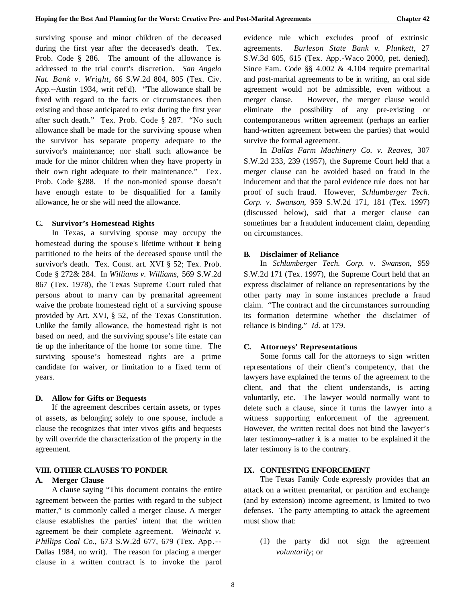surviving spouse and minor children of the deceased during the first year after the deceased's death. Tex. Prob. Code § 286. The amount of the allowance is addressed to the trial court's discretion. *San Angelo Nat. Bank v. Wright*, 66 S.W.2d 804, 805 (Tex. Civ. App.--Austin 1934, writ ref'd). "The allowance shall be fixed with regard to the facts or circumstances then existing and those anticipated to exist during the first year after such death." Tex. Prob. Code § 287. "No such allowance shall be made for the surviving spouse when the survivor has separate property adequate to the survivor's maintenance; nor shall such allowance be made for the minor children when they have property in their own right adequate to their maintenance." Tex. Prob. Code §288. If the non-monied spouse doesn't have enough estate to be disqualified for a family allowance, he or she will need the allowance.

#### **C. Survivor's Homestead Rights**

In Texas, a surviving spouse may occupy the homestead during the spouse's lifetime without it being partitioned to the heirs of the deceased spouse until the survivor's death. Tex. Const. art. XVI § 52; Tex. Prob. Code § 272& 284. In *Williams v. Williams,* 569 S.W.2d 867 (Tex. 1978), the Texas Supreme Court ruled that persons about to marry can by premarital agreement waive the probate homestead right of a surviving spouse provided by Art. XVI, § 52, of the Texas Constitution. Unlike the family allowance, the homestead right is not based on need, and the surviving spouse's life estate can tie up the inheritance of the home for some time. The surviving spouse's homestead rights are a prime candidate for waiver, or limitation to a fixed term of years.

#### **D. Allow for Gifts or Bequests**

If the agreement describes certain assets, or types of assets, as belonging solely to one spouse, include a clause the recognizes that inter vivos gifts and bequests by will override the characterization of the property in the agreement.

#### **VIII. OTHER CLAUSES TO PONDER**

#### **A. Merger Clause**

A clause saying "This document contains the entire agreement between the parties with regard to the subject matter," is commonly called a merger clause. A merger clause establishes the parties' intent that the written agreement be their complete agreement. *Weinacht v. Phillips Coal Co.*, 673 S.W.2d 677, 679 (Tex. App.-- Dallas 1984, no writ). The reason for placing a merger clause in a written contract is to invoke the parol

evidence rule which excludes proof of extrinsic agreements. *Burleson State Bank v. Plunkett*, 27 S.W.3d 605, 615 (Tex. App.-Waco 2000, pet. denied). Since Fam. Code §§ 4.002 & 4.104 require premarital and post-marital agreements to be in writing, an oral side agreement would not be admissible, even without a merger clause. However, the merger clause would eliminate the possibility of any pre-existing or contemporaneous written agreement (perhaps an earlier hand-written agreement between the parties) that would survive the formal agreement.

In *Dallas Farm Machinery Co. v. Reaves*, 307 S.W.2d 233, 239 (1957), the Supreme Court held that a merger clause can be avoided based on fraud in the inducement and that the parol evidence rule does not bar proof of such fraud. However, *Schlumberger Tech. Corp. v. Swanson*, 959 S.W.2d 171, 181 (Tex. 1997) (discussed below), said that a merger clause can sometimes bar a fraudulent inducement claim, depending on circumstances.

#### **B. Disclaimer of Reliance**

In *Schlumberger Tech. Corp. v. Swanson*, 959 S.W.2d 171 (Tex. 1997), the Supreme Court held that an express disclaimer of reliance on representations by the other party may in some instances preclude a fraud claim. "The contract and the circumstances surrounding its formation determine whether the disclaimer of reliance is binding." *Id.* at 179.

#### **C. Attorneys' Representations**

Some forms call for the attorneys to sign written representations of their client's competency, that the lawyers have explained the terms of the agreement to the client, and that the client understands, is acting voluntarily, etc. The lawyer would normally want to delete such a clause, since it turns the lawyer into a witness supporting enforcement of the agreement. However, the written recital does not bind the lawyer's later testimony–rather it is a matter to be explained if the later testimony is to the contrary.

## **IX. CONTESTING ENFORCEMENT**

The Texas Family Code expressly provides that an attack on a written premarital, or partition and exchange (and by extension) income agreement, is limited to two defenses. The party attempting to attack the agreement must show that:

(1) the party did not sign the agreement *voluntarily*; or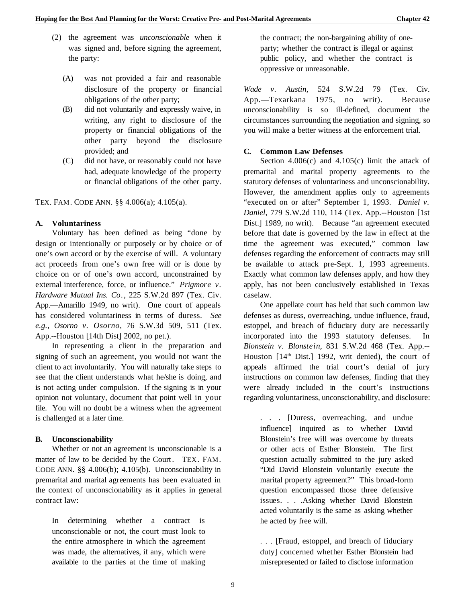- (2) the agreement was *unconscionable* when it was signed and, before signing the agreement, the party:
	- (A) was not provided a fair and reasonable disclosure of the property or financial obligations of the other party;
	- (B) did not voluntarily and expressly waive, in writing, any right to disclosure of the property or financial obligations of the other party beyond the disclosure provided; and
	- (C) did not have, or reasonably could not have had, adequate knowledge of the property or financial obligations of the other party.

TEX. FAM. CODE ANN. §§ 4.006(a); 4.105(a).

#### **A. Voluntariness**

Voluntary has been defined as being "done by design or intentionally or purposely or by choice or of one's own accord or by the exercise of will. A voluntary act proceeds from one's own free will or is done by c hoice on or of one's own accord, unconstrained by external interference, force, or influence." *Prigmore v. Hardware Mutual Ins. Co.*, 225 S.W.2d 897 (Tex. Civ. App.—Amarillo 1949, no writ). One court of appeals has considered voluntariness in terms of duress. *See e.g., Osorno v. Osorno*, 76 S.W.3d 509, 511 (Tex. App.--Houston [14th Dist] 2002, no pet.).

In representing a client in the preparation and signing of such an agreement, you would not want the client to act involuntarily. You will naturally take steps to see that the client understands what he/she is doing, and is not acting under compulsion. If the signing is in your opinion not voluntary, document that point well in your file. You will no doubt be a witness when the agreement is challenged at a later time.

#### **B. Unconscionability**

Whether or not an agreement is unconscionable is a matter of law to be decided by the Court. TEX. FAM. CODE ANN. §§ 4.006(b); 4.105(b). Unconscionability in premarital and marital agreements has been evaluated in the context of unconscionability as it applies in general contract law:

In determining whether a contract is unconscionable or not, the court must look to the entire atmosphere in which the agreement was made, the alternatives, if any, which were available to the parties at the time of making

the contract; the non-bargaining ability of oneparty; whether the contract is illegal or against public policy, and whether the contract is oppressive or unreasonable.

*Wade v. Austin*, 524 S.W.2d 79 (Tex. Civ. App.—Texarkana 1975, no writ). Because unconscionability is so ill-defined, document the circumstances surrounding the negotiation and signing, so you will make a better witness at the enforcement trial.

#### **C. Common Law Defenses**

Section  $4.006(c)$  and  $4.105(c)$  limit the attack of premarital and marital property agreements to the statutory defenses of voluntariness and unconscionability. However, the amendment applies only to agreements "executed on or after" September 1, 1993. *Daniel v. Daniel*, 779 S.W.2d 110, 114 (Tex. App.--Houston [1st Dist.] 1989, no writ). Because "an agreement executed before that date is governed by the law in effect at the time the agreement was executed," common law defenses regarding the enforcement of contracts may still be available to attack pre-Sept. 1, 1993 agreements. Exactly what common law defenses apply, and how they apply, has not been conclusively established in Texas caselaw.

One appellate court has held that such common law defenses as duress, overreaching, undue influence, fraud, estoppel, and breach of fiduciary duty are necessarily incorporated into the 1993 statutory defenses. In *Blonstein v. Blonstein*, 831 S.W.2d 468 (Tex. App.-- Houston  $[14<sup>th</sup> Dist.]$  1992, writ denied), the court of appeals affirmed the trial court's denial of jury instructions on common law defenses, finding that they were already included in the court's instructions regarding voluntariness, unconscionability, and disclosure:

. . . [Duress, overreaching, and undue influence] inquired as to whether David Blonstein's free will was overcome by threats or other acts of Esther Blonstein. The first question actually submitted to the jury asked "Did David Blonstein voluntarily execute the marital property agreement?" This broad-form question encompassed those three defensive issues. . . .Asking whether David Blonstein acted voluntarily is the same as asking whether he acted by free will.

. . . [Fraud, estoppel, and breach of fiduciary duty] concerned whether Esther Blonstein had misrepresented or failed to disclose information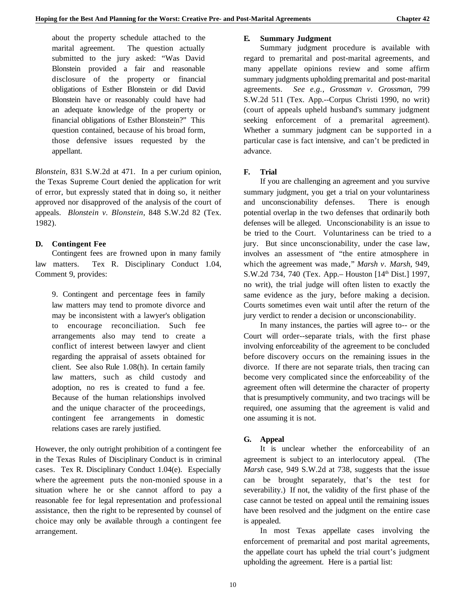about the property schedule attached to the marital agreement. The question actually submitted to the jury asked: "Was David Blonstein provided a fair and reasonable disclosure of the property or financial obligations of Esther Blonstein or did David Blonstein have or reasonably could have had an adequate knowledge of the property or financial obligations of Esther Blonstein?" This question contained, because of his broad form, those defensive issues requested by the appellant.

*Blonstein*, 831 S.W.2d at 471. In a per curium opinion, the Texas Supreme Court denied the application for writ of error, but expressly stated that in doing so, it neither approved nor disapproved of the analysis of the court of appeals. *Blonstein v. Blonstein*, 848 S.W.2d 82 (Tex. 1982).

## **D. Contingent Fee**

Contingent fees are frowned upon in many family law matters. Tex R. Disciplinary Conduct 1.04, Comment 9, provides:

9. Contingent and percentage fees in family law matters may tend to promote divorce and may be inconsistent with a lawyer's obligation to encourage reconciliation. Such fee arrangements also may tend to create a conflict of interest between lawyer and client regarding the appraisal of assets obtained for client. See also Rule 1.08(h). In certain family law matters, such as child custody and adoption, no res is created to fund a fee. Because of the human relationships involved and the unique character of the proceedings, contingent fee arrangements in domestic relations cases are rarely justified.

However, the only outright prohibition of a contingent fee in the Texas Rules of Disciplinary Conduct is in criminal cases. Tex R. Disciplinary Conduct 1.04(e). Especially where the agreement puts the non-monied spouse in a situation where he or she cannot afford to pay a reasonable fee for legal representation and professional assistance, then the right to be represented by counsel of choice may only be available through a contingent fee arrangement.

## **E. Summary Judgment**

Summary judgment procedure is available with regard to premarital and post-marital agreements, and many appellate opinions review and some affirm summary judgments upholding premarital and post-marital agreements. *See e.g.*, *Grossman v. Grossman*, 799 S.W.2d 511 (Tex. App.--Corpus Christi 1990, no writ) (court of appeals upheld husband's summary judgment seeking enforcement of a premarital agreement). Whether a summary judgment can be supported in a particular case is fact intensive, and can't be predicted in advance.

## **F. Trial**

If you are challenging an agreement and you survive summary judgment, you get a trial on your voluntariness and unconscionability defenses. There is enough potential overlap in the two defenses that ordinarily both defenses will be alleged. Unconscionability is an issue to be tried to the Court. Voluntariness can be tried to a jury. But since unconscionability, under the case law, involves an assessment of "the entire atmosphere in which the agreement was made," *Marsh v. Marsh*, 949, S.W.2d 734, 740 (Tex. App.– Houston [14<sup>th</sup> Dist.] 1997, no writ), the trial judge will often listen to exactly the same evidence as the jury, before making a decision. Courts sometimes even wait until after the return of the jury verdict to render a decision or unconscionability.

In many instances, the parties will agree to-- or the Court will order--separate trials, with the first phase involving enforceability of the agreement to be concluded before discovery occurs on the remaining issues in the divorce. If there are not separate trials, then tracing can become very complicated since the enforceability of the agreement often will determine the character of property that is presumptively community, and two tracings will be required, one assuming that the agreement is valid and one assuming it is not.

## **G. Appeal**

It is unclear whether the enforceability of an agreement is subject to an interlocutory appeal. (The *Marsh* case, 949 S.W.2d at 738, suggests that the issue can be brought separately, that's the test for severability.) If not, the validity of the first phase of the case cannot be tested on appeal until the remaining issues have been resolved and the judgment on the entire case is appealed.

In most Texas appellate cases involving the enforcement of premarital and post marital agreements, the appellate court has upheld the trial court's judgment upholding the agreement. Here is a partial list: